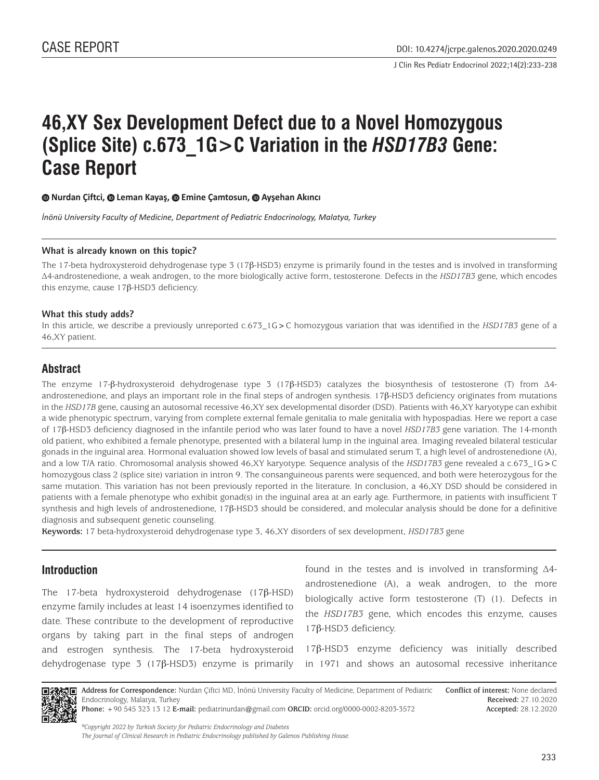J Clin Res Pediatr Endocrinol 2022;14(2):233-238

# **46,XY Sex Development Defect due to a Novel Homozygous (Splice Site) c.673\_1G>C Variation in the** *HSD17B3* **Gene: Case Report**

## **Nurdan Çiftci, Leman Kayaş, Emine Çamtosun, [A](https://orcid.org/0000-0001-7267-9444)yşehan Akıncı**

*İnönü University Faculty of Medicine, Department of Pediatric Endocrinology, Malatya, Turkey*

#### **What is already known on this topic?**

The 17-beta hydroxysteroid dehydrogenase type 3 (17β-HSD3) enzyme is primarily found in the testes and is involved in transforming Δ4-androstenedione, a weak androgen, to the more biologically active form, testosterone. Defects in the *HSD17B3* gene, which encodes this enzyme, cause 17β-HSD3 deficiency.

## **What this study adds?**

In this article, we describe a previously unreported c.673\_1G>C homozygous variation that was identified in the *HSD17B3* gene of a 46,XY patient.

## **Abstract**

The enzyme 17-β-hydroxysteroid dehydrogenase type 3 (17β-HSD3) catalyzes the biosynthesis of testosterone (T) from Δ4 androstenedione, and plays an important role in the final steps of androgen synthesis. 17β-HSD3 deficiency originates from mutations in the *HSD17B* gene, causing an autosomal recessive 46,XY sex developmental disorder (DSD). Patients with 46,XY karyotype can exhibit a wide phenotypic spectrum, varying from complete external female genitalia to male genitalia with hypospadias. Here we report a case of 17β-HSD3 deficiency diagnosed in the infantile period who was later found to have a novel *HSD17B3* gene variation. The 14-month old patient, who exhibited a female phenotype, presented with a bilateral lump in the inguinal area. Imaging revealed bilateral testicular gonads in the inguinal area. Hormonal evaluation showed low levels of basal and stimulated serum T, a high level of androstenedione (A), and a low T/A ratio. Chromosomal analysis showed 46,XY karyotype. Sequence analysis of the *HSD17B3* gene revealed a c.673\_1G>C homozygous class 2 (splice site) variation in intron 9. The consanguineous parents were sequenced, and both were heterozygous for the same mutation. This variation has not been previously reported in the literature. In conclusion, a 46,XY DSD should be considered in patients with a female phenotype who exhibit gonad(s) in the inguinal area at an early age. Furthermore, in patients with insufficient T synthesis and high levels of androstenedione, 17β-HSD3 should be considered, and molecular analysis should be done for a definitive diagnosis and subsequent genetic counseling.

**Keywords:** 17 beta-hydroxysteroid dehydrogenase type 3, 46,XY disorders of sex development, *HSD17B3* gene

## **Introduction**

The 17-beta hydroxysteroid dehydrogenase (17β-HSD) enzyme family includes at least 14 isoenzymes identified to date. These contribute to the development of reproductive organs by taking part in the final steps of androgen and estrogen synthesis. The 17-beta hydroxysteroid dehydrogenase type 3 (17β-HSD3) enzyme is primarily found in the testes and is involved in transforming Δ4 androstenedione (A), a weak androgen, to the more biologically active form testosterone (T) (1). Defects in the *HSD17B3* gene, which encodes this enzyme, causes 17β-HSD3 deficiency.

17β-HSD3 enzyme deficiency was initially described in 1971 and shows an autosomal recessive inheritance



**Address for Correspondence:** Nurdan Çiftci MD, İnönü University Faculty of Medicine, Department of Pediatric Endocrinology, Malatya, Turkey **Phone:** +90 545 323 13 12 **E-mail:** pediatrinurdan@gmail.com **ORCID:** orcid.org/0000-0002-8203-3572 **Conflict of interest:** None declared **Received:** 27.10.2020 **Accepted:** 28.12.2020

*©Copyright 2022 by Turkish Society for Pediatric Endocrinology and Diabetes The Journal of Clinical Research in Pediatric Endocrinology published by Galenos Publishing House.*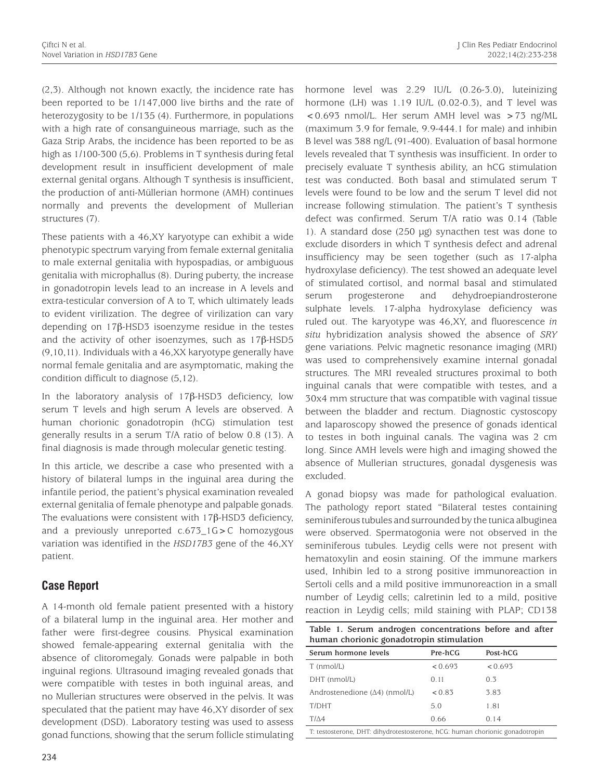(2,3). Although not known exactly, the incidence rate has been reported to be 1/147,000 live births and the rate of heterozygosity to be 1/135 (4). Furthermore, in populations with a high rate of consanguineous marriage, such as the Gaza Strip Arabs, the incidence has been reported to be as high as 1/100-300 (5,6). Problems in T synthesis during fetal development result in insufficient development of male external genital organs. Although T synthesis is insufficient, the production of anti-Müllerian hormone (AMH) continues normally and prevents the development of Mullerian structures (7).

These patients with a 46,XY karyotype can exhibit a wide phenotypic spectrum varying from female external genitalia to male external genitalia with hypospadias, or ambiguous genitalia with microphallus (8). During puberty, the increase in gonadotropin levels lead to an increase in A levels and extra-testicular conversion of A to T, which ultimately leads to evident virilization. The degree of virilization can vary depending on 17β-HSD3 isoenzyme residue in the testes and the activity of other isoenzymes, such as  $17\beta$ -HSD5 (9,10,11). Individuals with a 46,XX karyotype generally have normal female genitalia and are asymptomatic, making the condition difficult to diagnose (5,12).

In the laboratory analysis of 17β-HSD3 deficiency, low serum T levels and high serum A levels are observed. A human chorionic gonadotropin (hCG) stimulation test generally results in a serum T/A ratio of below 0.8 (13). A final diagnosis is made through molecular genetic testing.

In this article, we describe a case who presented with a history of bilateral lumps in the inguinal area during the infantile period, the patient's physical examination revealed external genitalia of female phenotype and palpable gonads. The evaluations were consistent with 17β-HSD3 deficiency, and a previously unreported  $c.673\_1G > C$  homozygous variation was identified in the *HSD17B3* gene of the 46,XY patient.

# **Case Report**

A 14-month old female patient presented with a history of a bilateral lump in the inguinal area. Her mother and father were first-degree cousins. Physical examination showed female-appearing external genitalia with the absence of clitoromegaly. Gonads were palpable in both inguinal regions. Ultrasound imaging revealed gonads that were compatible with testes in both inguinal areas, and no Mullerian structures were observed in the pelvis. It was speculated that the patient may have 46,XY disorder of sex development (DSD). Laboratory testing was used to assess gonad functions, showing that the serum follicle stimulating hormone level was 2.29 IU/L (0.26-3.0), luteinizing hormone (LH) was 1.19 IU/L (0.02-0.3), and T level was <0.693 nmol/L. Her serum AMH level was >73 ng/ML (maximum 3.9 for female, 9.9-444.1 for male) and inhibin B level was 388 ng/L (91-400). Evaluation of basal hormone levels revealed that T synthesis was insufficient. In order to precisely evaluate T synthesis ability, an hCG stimulation test was conducted. Both basal and stimulated serum T levels were found to be low and the serum T level did not increase following stimulation. The patient's T synthesis defect was confirmed. Serum T/A ratio was 0.14 (Table 1). A standard dose (250 µg) synacthen test was done to exclude disorders in which T synthesis defect and adrenal insufficiency may be seen together (such as 17-alpha hydroxylase deficiency). The test showed an adequate level of stimulated cortisol, and normal basal and stimulated serum progesterone and dehydroepiandrosterone sulphate levels. 17-alpha hydroxylase deficiency was ruled out. The karyotype was 46,XY, and fluorescence *in situ* hybridization analysis showed the absence of *SRY* gene variations. Pelvic magnetic resonance imaging (MRI) was used to comprehensively examine internal gonadal structures. The MRI revealed structures proximal to both inguinal canals that were compatible with testes, and a 30x4 mm structure that was compatible with vaginal tissue between the bladder and rectum. Diagnostic cystoscopy and laparoscopy showed the presence of gonads identical to testes in both inguinal canals. The vagina was 2 cm long. Since AMH levels were high and imaging showed the absence of Mullerian structures, gonadal dysgenesis was excluded.

A gonad biopsy was made for pathological evaluation. The pathology report stated "Bilateral testes containing seminiferous tubules and surrounded by the tunica albuginea were observed. Spermatogonia were not observed in the seminiferous tubules. Leydig cells were not present with hematoxylin and eosin staining. Of the immune markers used, Inhibin led to a strong positive immunoreaction in Sertoli cells and a mild positive immunoreaction in a small number of Leydig cells; calretinin led to a mild, positive reaction in Leydig cells; mild staining with PLAP; CD138

|                                          |  |  |  | Table 1. Serum androgen concentrations before and after |  |  |  |
|------------------------------------------|--|--|--|---------------------------------------------------------|--|--|--|
| human chorionic gonadotropin stimulation |  |  |  |                                                         |  |  |  |

| Serum hormone levels                                                         | Pre-hCG | Post-hCG |  |  |  |
|------------------------------------------------------------------------------|---------|----------|--|--|--|
| $T$ (nmol/L)                                                                 | < 0.693 | < 0.693  |  |  |  |
| DHT (nmol/L)                                                                 | 0.11    | 0.3      |  |  |  |
| Androstenedione $(\Delta 4)$ (nmol/L)                                        | < 0.83  | 3.83     |  |  |  |
| T/DHT                                                                        | 5.0     | 1.81     |  |  |  |
| T/A4                                                                         | 0.66    | 0.14     |  |  |  |
| T: testosterone, DHT: dihydrotestosterone, hCG: human chorionic gonadotropin |         |          |  |  |  |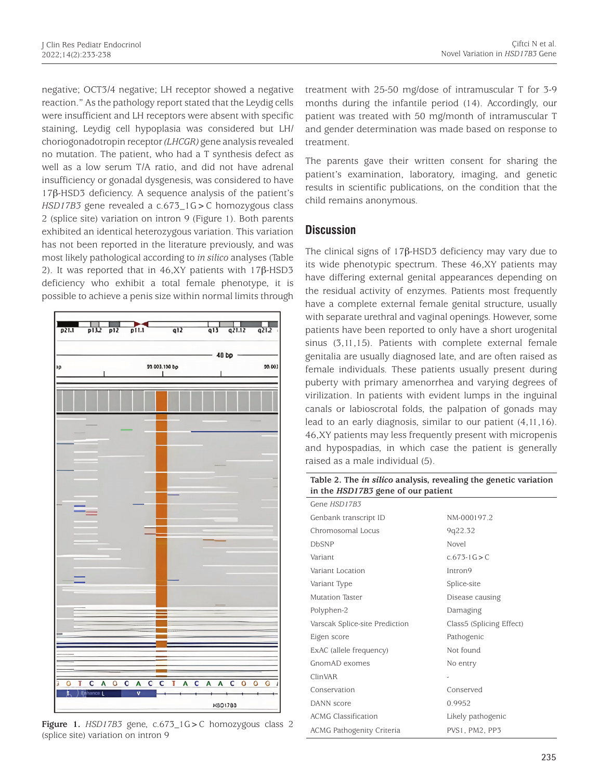negative; OCT3/4 negative; LH receptor showed a negative reaction." As the pathology report stated that the Leydig cells were insufficient and LH receptors were absent with specific staining, Leydig cell hypoplasia was considered but LH/ choriogonadotropin receptor *(LHCGR)* gene analysis revealed no mutation. The patient, who had a T synthesis defect as well as a low serum T/A ratio, and did not have adrenal insufficiency or gonadal dysgenesis, was considered to have 17β-HSD3 deficiency. A sequence analysis of the patient's *HSD17B3* gene revealed a c.673\_1G>C homozygous class 2 (splice site) variation on intron 9 (Figure 1). Both parents exhibited an identical heterozygous variation. This variation has not been reported in the literature previously, and was most likely pathological according to *in silico* analyses (Table 2). It was reported that in 46,XY patients with 17β-HSD3 deficiency who exhibit a total female phenotype, it is possible to achieve a penis size within normal limits through



Figure 1. *HSD17B3* gene, c.673\_1G>C homozygous class 2 (splice site) variation on intron 9

treatment with 25-50 mg/dose of intramuscular T for 3-9 months during the infantile period (14). Accordingly, our patient was treated with 50 mg/month of intramuscular T and gender determination was made based on response to treatment.

The parents gave their written consent for sharing the patient's examination, laboratory, imaging, and genetic results in scientific publications, on the condition that the child remains anonymous.

# **Discussion**

The clinical signs of 17β-HSD3 deficiency may vary due to its wide phenotypic spectrum. These 46,XY patients may have differing external genital appearances depending on the residual activity of enzymes. Patients most frequently have a complete external female genital structure, usually with separate urethral and vaginal openings. However, some patients have been reported to only have a short urogenital sinus (3,11,15). Patients with complete external female genitalia are usually diagnosed late, and are often raised as female individuals. These patients usually present during puberty with primary amenorrhea and varying degrees of virilization. In patients with evident lumps in the inguinal canals or labioscrotal folds, the palpation of gonads may lead to an early diagnosis, similar to our patient (4,11,16). 46,XY patients may less frequently present with micropenis and hypospadias, in which case the patient is generally raised as a male individual (5).

**Table 2. The** *in silico* **analysis, revealing the genetic variation in the** *HSD17B3* **gene of our patient**

| Gene HSD17B3                   |                          |  |  |  |
|--------------------------------|--------------------------|--|--|--|
| Genbank transcript ID          | NM-000197.2              |  |  |  |
| Chromosomal Locus              | 9q22.32                  |  |  |  |
| DbSNP                          | Novel                    |  |  |  |
| Variant                        | $c.673 - 1G > C$         |  |  |  |
| Variant Location               | Intron9                  |  |  |  |
| Variant Type                   | Splice-site              |  |  |  |
| <b>Mutation Taster</b>         | Disease causing          |  |  |  |
| Polyphen-2                     | Damaging                 |  |  |  |
| Varscak Splice-site Prediction | Class5 (Splicing Effect) |  |  |  |
| Eigen score                    | Pathogenic               |  |  |  |
| ExAC (allele frequency)        | Not found                |  |  |  |
| GnomAD exomes                  | No entry                 |  |  |  |
| <b>ClinVAR</b>                 |                          |  |  |  |
| Conservation                   | Conserved                |  |  |  |
| DANN score                     | 0.9952                   |  |  |  |
| <b>ACMG Classification</b>     | Likely pathogenic        |  |  |  |
| ACMG Pathogenity Criteria      | PVS1, PM2, PP3           |  |  |  |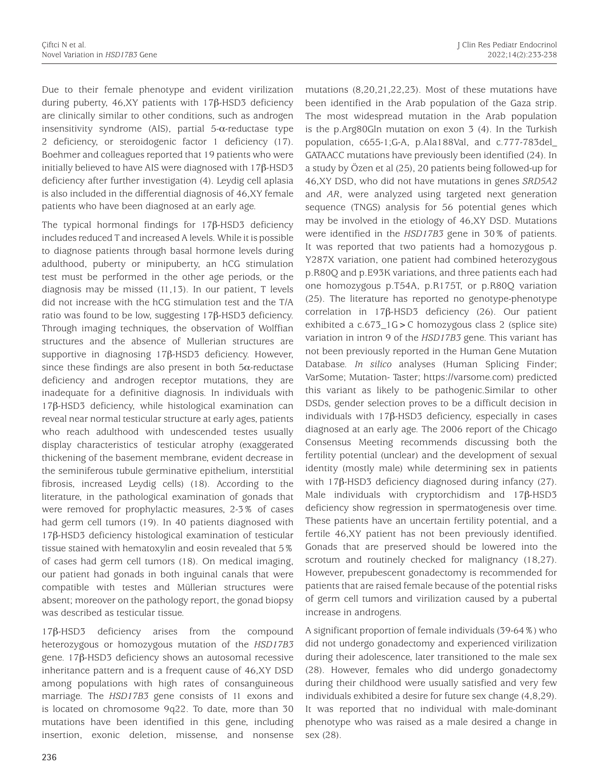Due to their female phenotype and evident virilization during puberty, 46,XY patients with 17β-HSD3 deficiency are clinically similar to other conditions, such as androgen insensitivity syndrome (AIS), partial  $5-\alpha$ -reductase type 2 deficiency, or steroidogenic factor 1 deficiency (17). Boehmer and colleagues reported that 19 patients who were initially believed to have AIS were diagnosed with 17β-HSD3 deficiency after further investigation (4). Leydig cell aplasia is also included in the differential diagnosis of 46,XY female patients who have been diagnosed at an early age.

The typical hormonal findings for 17β-HSD3 deficiency includes reduced T and increased A levels. While it is possible to diagnose patients through basal hormone levels during adulthood, puberty or minipuberty, an hCG stimulation test must be performed in the other age periods, or the diagnosis may be missed (11,13). In our patient, T levels did not increase with the hCG stimulation test and the T/A ratio was found to be low, suggesting 17β-HSD3 deficiency. Through imaging techniques, the observation of Wolffian structures and the absence of Mullerian structures are supportive in diagnosing 17β-HSD3 deficiency. However, since these findings are also present in both  $5\alpha$ -reductase deficiency and androgen receptor mutations, they are inadequate for a definitive diagnosis. In individuals with 17β-HSD3 deficiency, while histological examination can reveal near normal testicular structure at early ages, patients who reach adulthood with undescended testes usually display characteristics of testicular atrophy (exaggerated thickening of the basement membrane, evident decrease in the seminiferous tubule germinative epithelium, interstitial fibrosis, increased Leydig cells) (18). According to the literature, in the pathological examination of gonads that were removed for prophylactic measures, 2-3% of cases had germ cell tumors (19). In 40 patients diagnosed with 17β-HSD3 deficiency histological examination of testicular tissue stained with hematoxylin and eosin revealed that 5% of cases had germ cell tumors (18). On medical imaging, our patient had gonads in both inguinal canals that were compatible with testes and Müllerian structures were absent; moreover on the pathology report, the gonad biopsy was described as testicular tissue.

17β-HSD3 deficiency arises from the compound heterozygous or homozygous mutation of the *HSD17B3* gene. 17β-HSD3 deficiency shows an autosomal recessive inheritance pattern and is a frequent cause of 46,XY DSD among populations with high rates of consanguineous marriage. The *HSD17B3* gene consists of 11 exons and is located on chromosome 9q22. To date, more than 30 mutations have been identified in this gene, including insertion, exonic deletion, missense, and nonsense mutations (8,20,21,22,23). Most of these mutations have been identified in the Arab population of the Gaza strip. The most widespread mutation in the Arab population is the p.Arg80Gln mutation on exon 3 (4). In the Turkish population, c655-1;G-A, p.Ala188Val, and c.777-783del\_ GATAACC mutations have previously been identified (24). In a study by Özen et al (25), 20 patients being followed-up for 46,XY DSD, who did not have mutations in genes *SRD5A2* and *AR*, were analyzed using targeted next generation sequence (TNGS) analysis for 56 potential genes which may be involved in the etiology of 46,XY DSD. Mutations were identified in the *HSD17B3* gene in 30% of patients. It was reported that two patients had a homozygous p. Y287X variation, one patient had combined heterozygous p.R80Q and p.E93K variations, and three patients each had one homozygous p.T54A, p.R175T, or p.R80Q variation (25). The literature has reported no genotype-phenotype correlation in 17β-HSD3 deficiency (26). Our patient exhibited a c.673\_1G>C homozygous class 2 (splice site) variation in intron 9 of the *HSD17B3* gene. This variant has not been previously reported in the Human Gene Mutation Database. *In silico* analyses (Human Splicing Finder; VarSome; Mutation- Taster; https://varsome.com) predicted this variant as likely to be pathogenic.Similar to other DSDs, gender selection proves to be a difficult decision in individuals with 17β-HSD3 deficiency, especially in cases diagnosed at an early age. The 2006 report of the Chicago Consensus Meeting recommends discussing both the fertility potential (unclear) and the development of sexual identity (mostly male) while determining sex in patients with 17β-HSD3 deficiency diagnosed during infancy (27). Male individuals with cryptorchidism and 17β-HSD3 deficiency show regression in spermatogenesis over time. These patients have an uncertain fertility potential, and a fertile 46,XY patient has not been previously identified. Gonads that are preserved should be lowered into the scrotum and routinely checked for malignancy (18,27). However, prepubescent gonadectomy is recommended for patients that are raised female because of the potential risks of germ cell tumors and virilization caused by a pubertal increase in androgens.

A significant proportion of female individuals (39-64%) who did not undergo gonadectomy and experienced virilization during their adolescence, later transitioned to the male sex (28). However, females who did undergo gonadectomy during their childhood were usually satisfied and very few individuals exhibited a desire for future sex change (4,8,29). It was reported that no individual with male-dominant phenotype who was raised as a male desired a change in sex (28).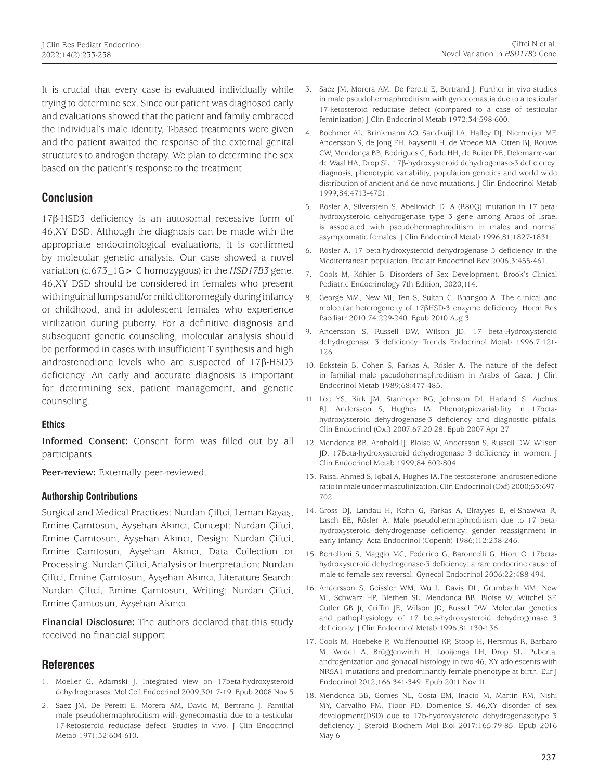It is crucial that every case is evaluated individually while trying to determine sex. Since our patient was diagnosed early and evaluations showed that the patient and family embraced the individual's male identity, T-based treatments were given and the patient awaited the response of the external genital structures to androgen therapy. We plan to determine the sex based on the patient's response to the treatment.

# **Conclusion**

17β-HSD3 deficiency is an autosomal recessive form of 46,XY DSD. Although the diagnosis can be made with the appropriate endocrinological evaluations, it is confirmed by molecular genetic analysis. Our case showed a novel variation (c.673\_1G> C homozygous) in the *HSD17B3* gene. 46,XY DSD should be considered in females who present with inguinal lumps and/or mild clitoromegaly during infancy or childhood, and in adolescent females who experience virilization during puberty. For a definitive diagnosis and subsequent genetic counseling, molecular analysis should be performed in cases with insufficient T synthesis and high androstenedione levels who are suspected of 17β-HSD3 deficiency. An early and accurate diagnosis is important for determining sex, patient management, and genetic counseling.

## **Ethics**

**Informed Consent:** Consent form was filled out by all participants.

**Peer-review:** Externally peer-reviewed.

## **Authorship Contributions**

Surgical and Medical Practices: Nurdan Çiftci, Leman Kayaş, Emine Çamtosun, Ayşehan Akıncı, Concept: Nurdan Çiftci, Emine Çamtosun, Ayşehan Akıncı, Design: Nurdan Çiftci, Emine Çamtosun, Ayşehan Akıncı, Data Collection or Processing: Nurdan Çiftci, Analysis or Interpretation: Nurdan Çiftci, Emine Çamtosun, Ayşehan Akıncı, Literature Search: Nurdan Çiftci, Emine Çamtosun, Writing: Nurdan Çiftci, Emine Çamtosun, Ayşehan Akıncı.

**Financial Disclosure:** The authors declared that this study received no financial support.

# **References**

- 1. Moeller G, Adamski J. Integrated view on 17beta-hydroxysteroid dehydrogenases. Mol Cell Endocrinol 2009;301:7-19. Epub 2008 Nov 5
- 2. Saez JM, De Peretti E, Morera AM, David M, Bertrand J. Familial male pseudohermaphroditism with gynecomastia due to a testicular 17-ketosteroid reductase defect. Studies in vivo. J Clin Endocrinol Metab 1971;32:604-610.
- 3. Saez JM, Morera AM, De Peretti E, Bertrand J. Further in vivo studies in male pseudohermaphroditism with gynecomastia due to a testicular 17-ketosteroid reductase defect (compared to a case of testicular feminization) | Clin Endocrinol Metab 1972;34:598-600.
- 4. Boehmer AL, Brinkmann AO, Sandkuijl LA, Halley DJ, Niermeijer MF, Andersson S, de Jong FH, Kayserili H, de Vroede MA, Otten BJ, Rouwé CW, Mendonça BB, Rodrigues C, Bode HH, de Ruiter PE, Delemarre-van de Waal HA, Drop SL. 17β-hydroxysteroid dehydrogenase-3 deficiency: diagnosis, phenotypic variability, population genetics and world wide distribution of ancient and de novo mutations. J Clin Endocrinol Metab 1999;84:4713-4721.
- 5. Rösler A, Silverstein S, Abeliovich D. A (R80Q) mutation in 17 betahydroxysteroid dehydrogenase type 3 gene among Arabs of Israel is associated with pseudohermaphroditism in males and normal asymptomatic females. J Clin Endocrinol Metab 1996;81:1827-1831.
- 6. Rösler A. 17 beta-hydroxysteroid dehydrogenase 3 deficiency in the Mediterranean population. Pediatr Endocrinol Rev 2006;3:455-461.
- 7. Cools M, Köhler B. Disorders of Sex Development. Brook's Clinical Pediatric Endocrinology 7th Edition, 2020;114.
- 8. George MM, New MI, Ten S, Sultan C, Bhangoo A. The clinical and molecular heterogeneity of 17βHSD-3 enzyme deficiency. Horm Res Paediatr 2010;74:229-240. Epub 2010 Aug 3
- 9. Andersson S, Russell DW, Wilson JD. 17 beta-Hydroxysteroid dehydrogenase 3 deficiency. Trends Endocrinol Metab 1996;7:121- 126.
- 10. Eckstein B, Cohen S, Farkas A, Rösler A. The nature of the defect in familial male pseudohermaphroditism in Arabs of Gaza. J Clin Endocrinol Metab 1989;68:477-485.
- 11. Lee YS, Kirk JM, Stanhope RG, Johnston DI, Harland S, Auchus RJ, Andersson S, Hughes IA. Phenotypicvariability in 17betahydroxysteroid dehydrogenase-3 deficiency and diagnostic pitfalls. Clin Endocrinol (Oxf) 2007;67:20-28. Epub 2007 Apr 27
- 12. Mendonca BB, Arnhold IJ, Bloise W, Andersson S, Russell DW, Wilson JD. 17Beta-hydroxysteroid dehydrogenase 3 deficiency in women. J Clin Endocrinol Metab 1999;84:802-804.
- 13. Faisal Ahmed S, Iqbal A, Hughes IA.The testosterone: androstenedione ratio in male under masculinization. Clin Endocrinol (Oxf) 2000;53:697- 702.
- 14. Gross DJ, Landau H, Kohn G, Farkas A, Elrayyes E, el-Shawwa R, Lasch EE, Rösler A. Male pseudohermaphroditism due to 17 betahydroxysteroid dehydrogenase deficiency: gender reassignment in early infancy. Acta Endocrinol (Copenh) 1986;112:238-246.
- 15. Bertelloni S, Maggio MC, Federico G, Baroncelli G, Hiort O. 17betahydroxysteroid dehydrogenase-3 deficiency: a rare endocrine cause of male-to-female sex reversal. Gynecol Endocrinol 2006;22:488-494.
- 16. Andersson S, Geissler WM, Wu L, Davis DL, Grumbach MM, New MI, Schwarz HP, Blethen SL, Mendonca BB, Bloise W, Witchel SF, Cutler GB Jr, Griffin JE, Wilson JD, Russel DW. Molecular genetics and pathophysiology of 17 beta-hydroxysteroid dehydrogenase 3 deficiency. J Clin Endocrinol Metab 1996;81:130-136.
- 17. Cools M, Hoebeke P, Wolffenbuttel KP, Stoop H, Hersmus R, Barbaro M, Wedell A, Brüggenwirth H, Looijenga LH, Drop SL. Pubertal androgenization and gonadal histology in two 46, XY adolescents with NR5A1 mutations and predominantly female phenotype at birth. Eur J Endocrinol 2012;166:341-349. Epub 2011 Nov 11
- 18. Mendonca BB, Gomes NL, Costa EM, Inacio M, Martin RM, Nishi MY, Carvalho FM, Tibor FD, Domenice S. 46,XY disorder of sex development(DSD) due to 17b-hydroxysteroid dehydrogenasetype 3 deficiency. J Steroid Biochem Mol Biol 2017;165:79-85. Epub 2016 May 6